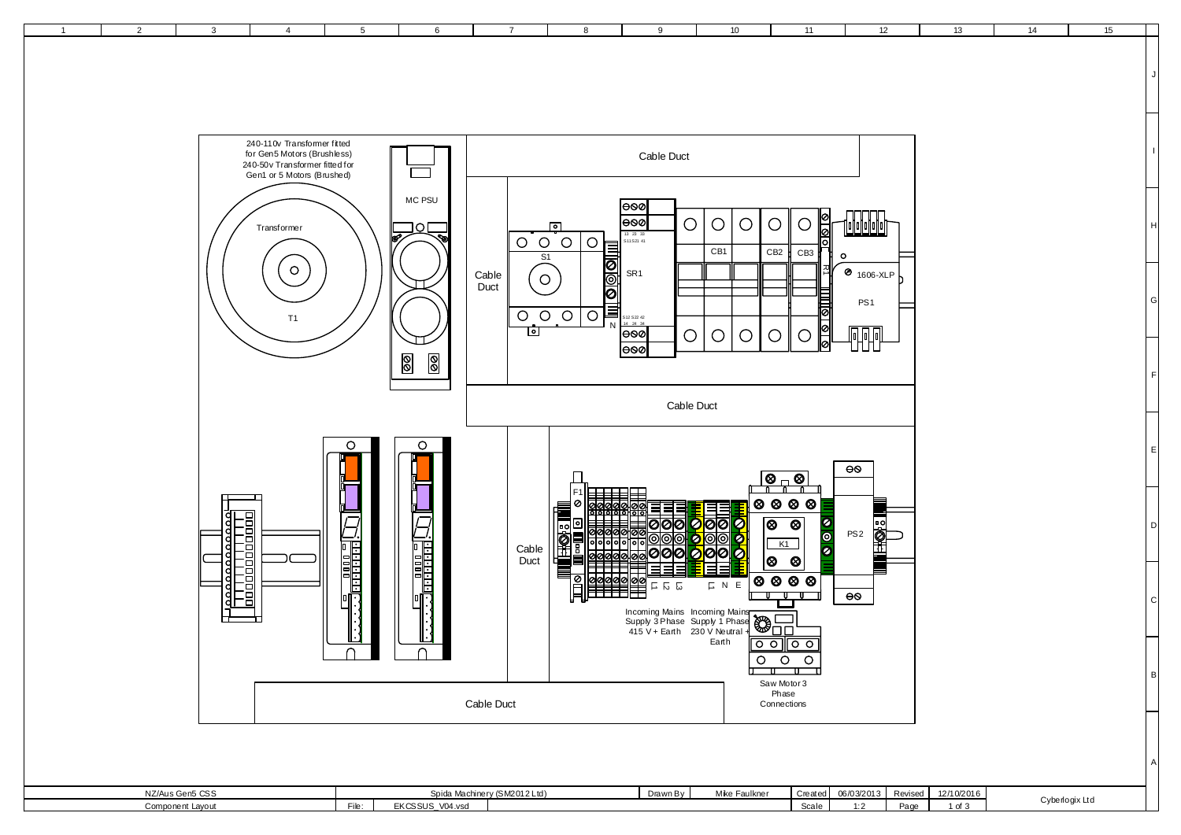

1 | 2 | 3 | 4 | 5 | 6 | 7 | 8 | 9 | 10 | 11 | 12 | 13 | 14 | 15

| NZ/Aus Gen5 CSS  |      | (0.100101)<br>pida Mac<br>VIZUTZ LIG. |  | Drawn Bv | $M1_{22} - 5$<br>Mike Faulkne | vital | 000000000 | <b>D</b> -<br>Revised | 12/10/2016 |                |
|------------------|------|---------------------------------------|--|----------|-------------------------------|-------|-----------|-----------------------|------------|----------------|
| Component Lavout | FIF. | <b>EKCSSUS V04.vsd</b>                |  |          |                               | scale |           | Par-                  | $-1$       | Cyberlogix Ltd |
|                  |      |                                       |  |          |                               |       |           |                       |            |                |

C D E

F

G

H

I

J

A

B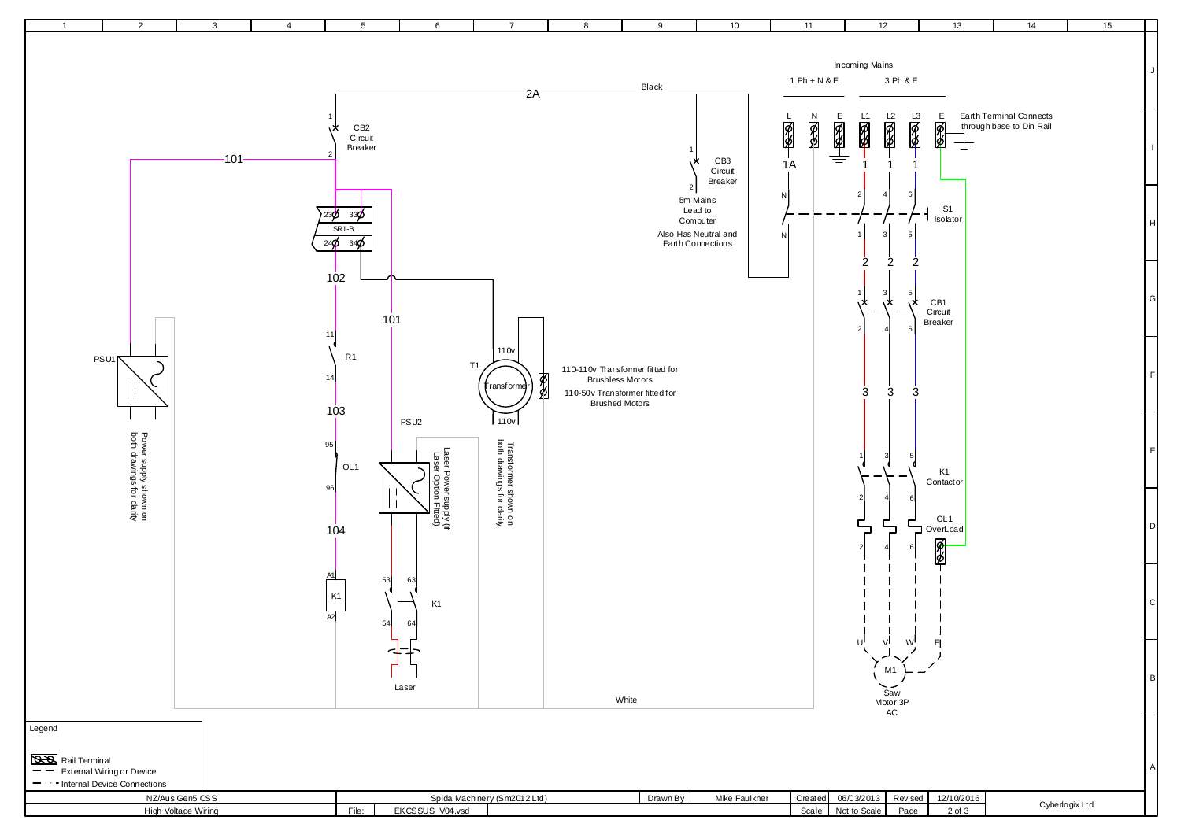